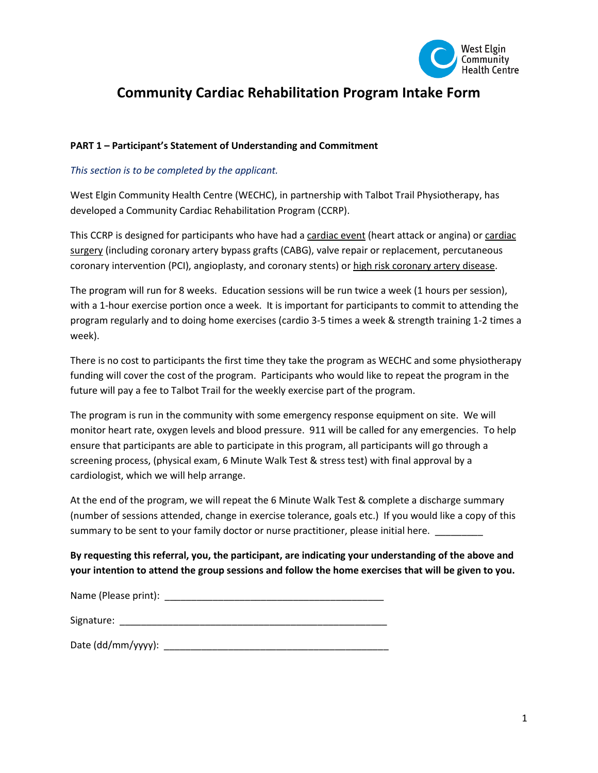

# **Community Cardiac Rehabilitation Program Intake Form**

## **PART 1 – Participant's Statement of Understanding and Commitment**

## *This section is to be completed by the applicant.*

West Elgin Community Health Centre (WECHC), in partnership with Talbot Trail Physiotherapy, has developed a Community Cardiac Rehabilitation Program (CCRP).

This CCRP is designed for participants who have had a cardiac event (heart attack or angina) or cardiac surgery (including coronary artery bypass grafts (CABG), valve repair or replacement, percutaneous coronary intervention (PCI), angioplasty, and coronary stents) or high risk coronary artery disease.

The program will run for 8 weeks. Education sessions will be run twice a week (1 hours per session), with a 1-hour exercise portion once a week. It is important for participants to commit to attending the program regularly and to doing home exercises (cardio 3-5 times a week & strength training 1-2 times a week).

There is no cost to participants the first time they take the program as WECHC and some physiotherapy funding will cover the cost of the program. Participants who would like to repeat the program in the future will pay a fee to Talbot Trail for the weekly exercise part of the program.

The program is run in the community with some emergency response equipment on site. We will monitor heart rate, oxygen levels and blood pressure. 911 will be called for any emergencies. To help ensure that participants are able to participate in this program, all participants will go through a screening process, (physical exam, 6 Minute Walk Test & stress test) with final approval by a cardiologist, which we will help arrange.

At the end of the program, we will repeat the 6 Minute Walk Test & complete a discharge summary (number of sessions attended, change in exercise tolerance, goals etc.) If you would like a copy of this summary to be sent to your family doctor or nurse practitioner, please initial here. \_\_\_

# **By requesting this referral, you, the participant, are indicating your understanding of the above and your intention to attend the group sessions and follow the home exercises that will be given to you.**

Name (Please print): \_\_\_\_\_\_\_\_\_\_\_\_\_\_\_\_\_\_\_\_\_\_\_\_\_\_\_\_\_\_\_\_\_\_\_\_\_\_\_\_\_

Signature: \_\_\_\_\_\_\_\_\_\_\_\_\_\_\_\_\_\_\_\_\_\_\_\_\_\_\_\_\_\_\_\_\_\_\_\_\_\_\_\_\_\_\_\_\_\_\_\_\_\_

Date (dd/mm/yyyy): \_\_\_\_\_\_\_\_\_\_\_\_\_\_\_\_\_\_\_\_\_\_\_\_\_\_\_\_\_\_\_\_\_\_\_\_\_\_\_\_\_\_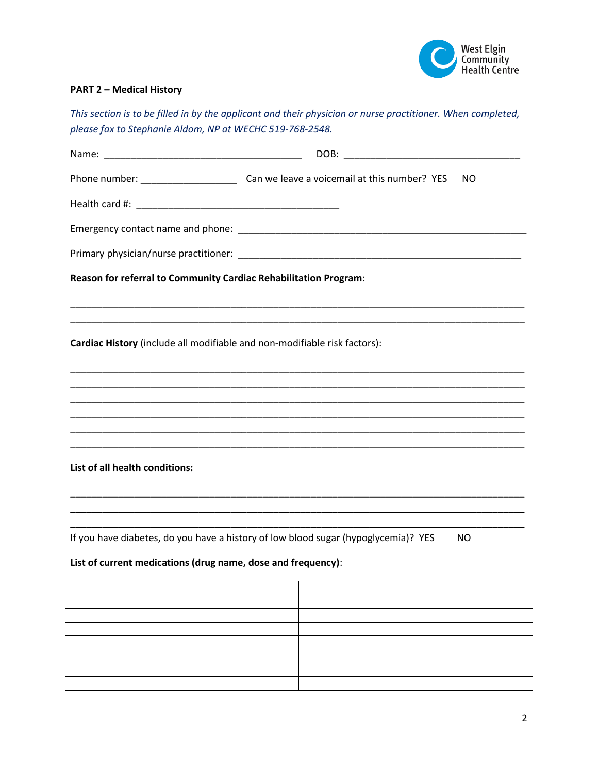

# **PART 2 – Medical History**

*This section is to be filled in by the applicant and their physician or nurse practitioner. When completed, please fax to Stephanie Aldom, NP at WECHC 519-768-2548.*

|                                                                           | NO                                                                                        |
|---------------------------------------------------------------------------|-------------------------------------------------------------------------------------------|
|                                                                           |                                                                                           |
|                                                                           |                                                                                           |
|                                                                           |                                                                                           |
| Reason for referral to Community Cardiac Rehabilitation Program:          |                                                                                           |
| Cardiac History (include all modifiable and non-modifiable risk factors): |                                                                                           |
|                                                                           |                                                                                           |
| List of all health conditions:                                            |                                                                                           |
| List of current medications (drug name, dose and frequency):              | If you have diabetes, do you have a history of low blood sugar (hypoglycemia)? YES<br>NO. |
|                                                                           |                                                                                           |
|                                                                           |                                                                                           |
|                                                                           |                                                                                           |
|                                                                           |                                                                                           |
|                                                                           |                                                                                           |
|                                                                           |                                                                                           |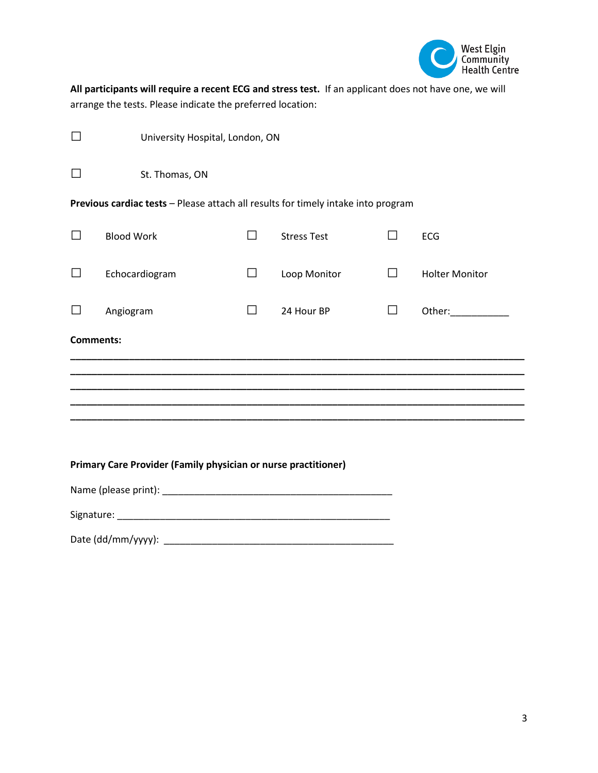

**All participants will require a recent ECG and stress test.** If an applicant does not have one, we will arrange the tests. Please indicate the preferred location:

|                  | University Hospital, London, ON                                                   |              |                    |        |                                                                                                                                                                                                                                |  |  |
|------------------|-----------------------------------------------------------------------------------|--------------|--------------------|--------|--------------------------------------------------------------------------------------------------------------------------------------------------------------------------------------------------------------------------------|--|--|
| $\Box$           | St. Thomas, ON                                                                    |              |                    |        |                                                                                                                                                                                                                                |  |  |
|                  | Previous cardiac tests - Please attach all results for timely intake into program |              |                    |        |                                                                                                                                                                                                                                |  |  |
| $\Box$           | <b>Blood Work</b>                                                                 | $\Box$       | <b>Stress Test</b> | П      | <b>ECG</b>                                                                                                                                                                                                                     |  |  |
| $\Box$           | Echocardiogram                                                                    | $\mathsf{L}$ | Loop Monitor       | $\Box$ | <b>Holter Monitor</b>                                                                                                                                                                                                          |  |  |
|                  | Angiogram                                                                         | $\Box$       | 24 Hour BP         | П      | Other: and the state of the state of the state of the state of the state of the state of the state of the state of the state of the state of the state of the state of the state of the state of the state of the state of the |  |  |
| <b>Comments:</b> |                                                                                   |              |                    |        |                                                                                                                                                                                                                                |  |  |
|                  |                                                                                   |              |                    |        |                                                                                                                                                                                                                                |  |  |
|                  |                                                                                   |              |                    |        |                                                                                                                                                                                                                                |  |  |
|                  |                                                                                   |              |                    |        |                                                                                                                                                                                                                                |  |  |
|                  |                                                                                   |              |                    |        |                                                                                                                                                                                                                                |  |  |
|                  | Primary Care Provider (Family physician or nurse practitioner)                    |              |                    |        |                                                                                                                                                                                                                                |  |  |
|                  |                                                                                   |              |                    |        |                                                                                                                                                                                                                                |  |  |
|                  |                                                                                   |              |                    |        |                                                                                                                                                                                                                                |  |  |

Date (dd/mm/yyyy): \_\_\_\_\_\_\_\_\_\_\_\_\_\_\_\_\_\_\_\_\_\_\_\_\_\_\_\_\_\_\_\_\_\_\_\_\_\_\_\_\_\_\_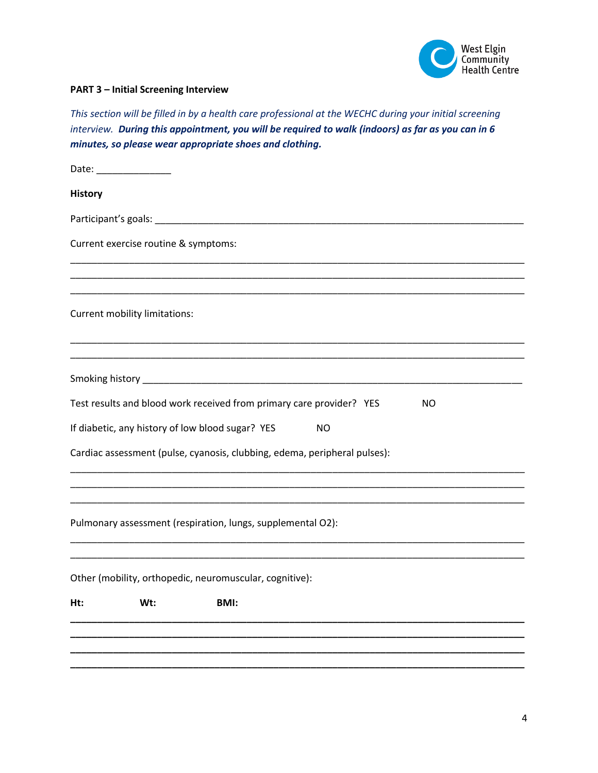

## **PART 3 – Initial Screening Interview**

*This section will be filled in by a health care professional at the WECHC during your initial screening interview. During this appointment, you will be required to walk (indoors) as far as you can in 6 minutes, so please wear appropriate shoes and clothing.* 

|                | Date: _________________              |                                                                           |           |  |     |  |
|----------------|--------------------------------------|---------------------------------------------------------------------------|-----------|--|-----|--|
| <b>History</b> |                                      |                                                                           |           |  |     |  |
|                |                                      |                                                                           |           |  |     |  |
|                | Current exercise routine & symptoms: |                                                                           |           |  |     |  |
|                |                                      |                                                                           |           |  |     |  |
|                | Current mobility limitations:        |                                                                           |           |  |     |  |
|                |                                      |                                                                           |           |  |     |  |
|                |                                      |                                                                           |           |  |     |  |
|                |                                      | Test results and blood work received from primary care provider? YES      |           |  | NO. |  |
|                |                                      | If diabetic, any history of low blood sugar? YES                          | <b>NO</b> |  |     |  |
|                |                                      | Cardiac assessment (pulse, cyanosis, clubbing, edema, peripheral pulses): |           |  |     |  |
|                |                                      |                                                                           |           |  |     |  |
|                |                                      | Pulmonary assessment (respiration, lungs, supplemental O2):               |           |  |     |  |
|                |                                      |                                                                           |           |  |     |  |
|                |                                      | Other (mobility, orthopedic, neuromuscular, cognitive):                   |           |  |     |  |
| Ht:            | Wt:                                  | <b>BMI:</b>                                                               |           |  |     |  |
|                |                                      |                                                                           |           |  |     |  |
|                |                                      |                                                                           |           |  |     |  |
|                |                                      |                                                                           |           |  |     |  |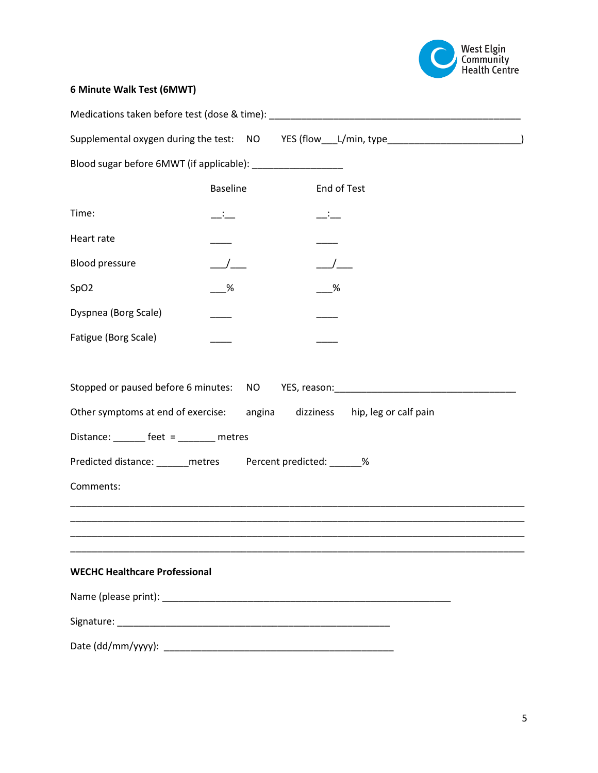

# **6 Minute Walk Test (6MWT)**

|                                                              |                 | Medications taken before test (dose & time): ___________________________________ |
|--------------------------------------------------------------|-----------------|----------------------------------------------------------------------------------|
|                                                              |                 | Supplemental oxygen during the test: NO YES (flow_______________________________ |
| Blood sugar before 6MWT (if applicable): __________________  |                 |                                                                                  |
|                                                              | <b>Baseline</b> | End of Test                                                                      |
| Time:                                                        | $-$             | $ -$                                                                             |
| Heart rate                                                   |                 |                                                                                  |
| <b>Blood pressure</b>                                        |                 |                                                                                  |
| SpO <sub>2</sub>                                             | %               | %                                                                                |
| Dyspnea (Borg Scale)                                         |                 |                                                                                  |
| Fatigue (Borg Scale)                                         |                 |                                                                                  |
|                                                              |                 |                                                                                  |
| Stopped or paused before 6 minutes: NO                       |                 |                                                                                  |
|                                                              |                 | Other symptoms at end of exercise: angina dizziness hip, leg or calf pain        |
| Distance: _______ feet = _______ metres                      |                 |                                                                                  |
| Predicted distance: ______ metres Percent predicted: ______% |                 |                                                                                  |
| Comments:                                                    |                 |                                                                                  |
|                                                              |                 |                                                                                  |
|                                                              |                 |                                                                                  |
|                                                              |                 |                                                                                  |
| <b>WECHC Healthcare Professional</b>                         |                 |                                                                                  |
|                                                              |                 |                                                                                  |
|                                                              |                 |                                                                                  |
|                                                              |                 |                                                                                  |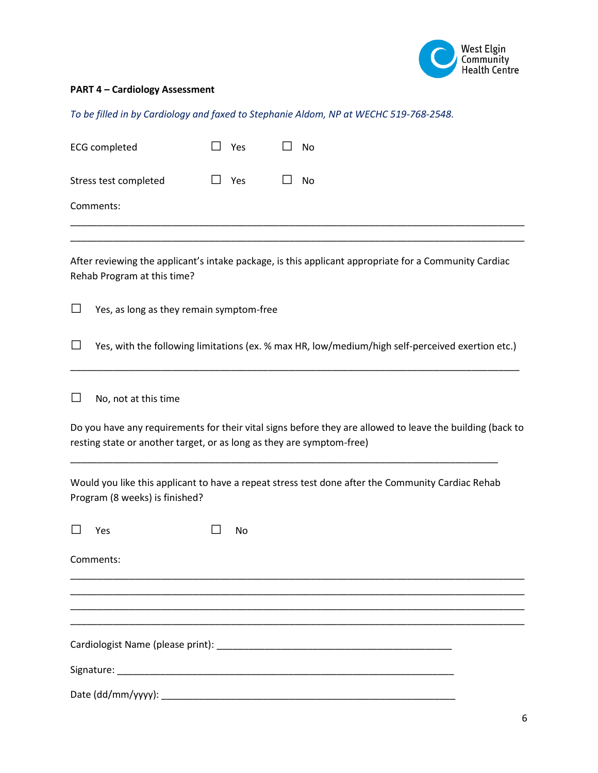

#### **PART 4 – Cardiology Assessment**

*To be filled in by Cardiology and faxed to Stephanie Aldom, NP at WECHC 519-768-2548.*

| <b>ECG completed</b>  | Yes | No<br>$\mathbf{I}$ |
|-----------------------|-----|--------------------|
| Stress test completed | Yes | $\perp$<br>No      |
| Comments:             |     |                    |
|                       |     |                    |

After reviewing the applicant's intake package, is this applicant appropriate for a Community Cardiac Rehab Program at this time?

□ Yes, as long as they remain symptom-free

□ Yes, with the following limitations (ex. % max HR, low/medium/high self-perceived exertion etc.)

\_\_\_\_\_\_\_\_\_\_\_\_\_\_\_\_\_\_\_\_\_\_\_\_\_\_\_\_\_\_\_\_\_\_\_\_\_\_\_\_\_\_\_\_\_\_\_\_\_\_\_\_\_\_\_\_\_\_\_\_\_\_\_\_\_\_\_\_\_\_\_\_\_\_\_\_\_\_\_\_\_\_\_\_

 $\Box$  No, not at this time

Do you have any requirements for their vital signs before they are allowed to leave the building (back to resting state or another target, or as long as they are symptom-free)

Would you like this applicant to have a repeat stress test done after the Community Cardiac Rehab Program (8 weeks) is finished?

\_\_\_\_\_\_\_\_\_\_\_\_\_\_\_\_\_\_\_\_\_\_\_\_\_\_\_\_\_\_\_\_\_\_\_\_\_\_\_\_\_\_\_\_\_\_\_\_\_\_\_\_\_\_\_\_\_\_\_\_\_\_\_\_\_\_\_\_\_\_\_\_\_\_\_\_\_\_\_\_\_\_\_\_\_ \_\_\_\_\_\_\_\_\_\_\_\_\_\_\_\_\_\_\_\_\_\_\_\_\_\_\_\_\_\_\_\_\_\_\_\_\_\_\_\_\_\_\_\_\_\_\_\_\_\_\_\_\_\_\_\_\_\_\_\_\_\_\_\_\_\_\_\_\_\_\_\_\_\_\_\_\_\_\_\_\_\_\_\_\_ \_\_\_\_\_\_\_\_\_\_\_\_\_\_\_\_\_\_\_\_\_\_\_\_\_\_\_\_\_\_\_\_\_\_\_\_\_\_\_\_\_\_\_\_\_\_\_\_\_\_\_\_\_\_\_\_\_\_\_\_\_\_\_\_\_\_\_\_\_\_\_\_\_\_\_\_\_\_\_\_\_\_\_\_\_

\_\_\_\_\_\_\_\_\_\_\_\_\_\_\_\_\_\_\_\_\_\_\_\_\_\_\_\_\_\_\_\_\_\_\_\_\_\_\_\_\_\_\_\_\_\_\_\_\_\_\_\_\_\_\_\_\_\_\_\_\_\_\_\_\_\_\_\_\_\_\_\_\_\_\_\_\_\_\_\_

| $\Box$ Yes |  | $\Box$ No |  |
|------------|--|-----------|--|
|            |  |           |  |

Comments:

\_\_\_\_\_\_\_\_\_\_\_\_\_\_\_\_\_\_\_\_\_\_\_\_\_\_\_\_\_\_\_\_\_\_\_\_\_\_\_\_\_\_\_\_\_\_\_\_\_\_\_\_\_\_\_\_\_\_\_\_\_\_\_\_\_\_\_\_\_\_\_\_\_\_\_\_\_\_\_\_\_\_\_\_\_ Cardiologist Name (please print): \_\_\_\_\_\_\_\_\_\_\_\_\_\_\_\_\_\_\_\_\_\_\_\_\_\_\_\_\_\_\_\_\_\_\_\_\_\_\_\_\_\_\_\_

Signature: \_\_\_\_\_\_\_\_\_\_\_\_\_\_\_\_\_\_\_\_\_\_\_\_\_\_\_\_\_\_\_\_\_\_\_\_\_\_\_\_\_\_\_\_\_\_\_\_\_\_\_\_\_\_\_\_\_\_\_\_\_\_\_

 $Date (dd/mm/vyyy):$